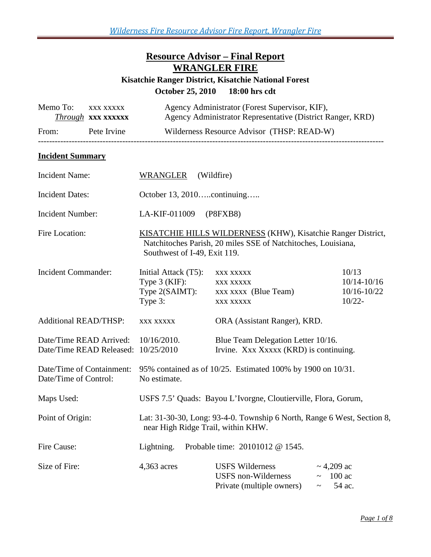## **Resource Advisor – Final Report WRANGLER FIRE**

### **Kisatchie Ranger District, Kisatchie National Forest October 25, 2010 18:00 hrs cdt**

| Memo To:                                            | XXX XXXXX<br>Through XXX XXXXXX |                                                                                                                                                               | Agency Administrator (Forest Supervisor, KIF),<br>Agency Administrator Representative (District Ranger, KRD) |                                                      |  |
|-----------------------------------------------------|---------------------------------|---------------------------------------------------------------------------------------------------------------------------------------------------------------|--------------------------------------------------------------------------------------------------------------|------------------------------------------------------|--|
| Pete Irvine<br>From:                                |                                 |                                                                                                                                                               | Wilderness Resource Advisor (THSP: READ-W)                                                                   |                                                      |  |
| <b>Incident Summary</b>                             |                                 |                                                                                                                                                               |                                                                                                              |                                                      |  |
| <b>Incident Name:</b>                               |                                 | <b>WRANGLER</b><br>(Wildfire)                                                                                                                                 |                                                                                                              |                                                      |  |
| <b>Incident Dates:</b>                              |                                 | October 13, 2010continuing                                                                                                                                    |                                                                                                              |                                                      |  |
| Incident Number:                                    |                                 | LA-KIF-011009<br>(P8FXB8)                                                                                                                                     |                                                                                                              |                                                      |  |
| Fire Location:                                      |                                 | KISATCHIE HILLS WILDERNESS (KHW), Kisatchie Ranger District,<br>Natchitoches Parish, 20 miles SSE of Natchitoches, Louisiana,<br>Southwest of I-49, Exit 119. |                                                                                                              |                                                      |  |
| <b>Incident Commander:</b>                          |                                 | Initial Attack (T5):<br>Type $3$ (KIF):<br>Type 2(SAIMT):<br>Type 3:                                                                                          | XXX XXXXX<br>XXX XXXXX<br>xxx xxxx (Blue Team)<br>XXX XXXXX                                                  | 10/13<br>$10/14 - 10/16$<br>10/16-10/22<br>$10/22 -$ |  |
| <b>Additional READ/THSP:</b>                        |                                 | XXX XXXXX                                                                                                                                                     | ORA (Assistant Ranger), KRD.                                                                                 |                                                      |  |
| Date/Time READ Arrived:<br>Date/Time READ Released: |                                 | Blue Team Delegation Letter 10/16.<br>$10/16/2010$ .<br>10/25/2010<br>Irvine. Xxx Xxxxx (KRD) is continuing.                                                  |                                                                                                              |                                                      |  |
| Date/Time of Containment:<br>Date/Time of Control:  |                                 | 95% contained as of 10/25. Estimated 100% by 1900 on 10/31.<br>No estimate.                                                                                   |                                                                                                              |                                                      |  |
| Maps Used:                                          |                                 | USFS 7.5' Quads: Bayou L'Ivorgne, Cloutierville, Flora, Gorum,                                                                                                |                                                                                                              |                                                      |  |
| Point of Origin:                                    |                                 | Lat: 31-30-30, Long: 93-4-0. Township 6 North, Range 6 West, Section 8,<br>near High Ridge Trail, within KHW.                                                 |                                                                                                              |                                                      |  |
| Fire Cause:                                         |                                 | Probable time: 20101012 @ 1545.<br>Lightning.                                                                                                                 |                                                                                                              |                                                      |  |
| Size of Fire:                                       |                                 | 4,363 acres                                                                                                                                                   | <b>USFS Wilderness</b><br><b>USFS</b> non-Wilderness<br>Private (multiple owners)                            | $\sim$ 4,209 ac<br>$\sim$ 100 ac<br>54 ac.           |  |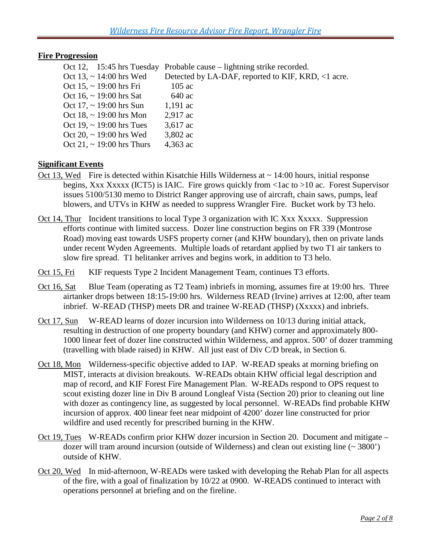#### **Fire Progression**

|  | Oct 12, $15:45$ hrs Tuesday    | Probable cause – lightning strike recorded.        |
|--|--------------------------------|----------------------------------------------------|
|  | Oct 13, $\sim$ 14:00 hrs Wed   | Detected by LA-DAF, reported to KIF, KRD, <1 acre. |
|  | Oct 15, $\sim$ 19:00 hrs Fri   | $105$ ac                                           |
|  | Oct 16, $\sim$ 19:00 hrs Sat   | 640 ac                                             |
|  | Oct 17, $\sim$ 19:00 hrs Sun   | $1,191$ ac                                         |
|  | Oct 18, $\sim$ 19:00 hrs Mon   | $2,917$ ac                                         |
|  | Oct 19, $\sim$ 19:00 hrs Tues  | $3,617$ ac                                         |
|  | Oct 20, $\sim$ 19:00 hrs Wed   | 3,802 ac                                           |
|  | Oct 21, $\sim$ 19:00 hrs Thurs | 4,363 ac                                           |
|  |                                |                                                    |

#### **Significant Events**

- Oct 13, Wed Fire is detected within Kisatchie Hills Wilderness at  $\sim$  14:00 hours, initial response begins, Xxx Xxxxx (ICT5) is IAIC. Fire grows quickly from <1ac to >10 ac. Forest Supervisor issues 5100/5130 memo to District Ranger approving use of aircraft, chain saws, pumps, leaf blowers, and UTVs in KHW as needed to suppress Wrangler Fire. Bucket work by T3 helo.
- Oct 14, Thur Incident transitions to local Type 3 organization with IC Xxx Xxxxx. Suppression efforts continue with limited success. Dozer line construction begins on FR 339 (Montrose Road) moving east towards USFS property corner (and KHW boundary), then on private lands under recent Wyden Agreements. Multiple loads of retardant applied by two T1 air tankers to slow fire spread. T1 helitanker arrives and begins work, in addition to T3 helo.
- Oct 15, Fri KIF requests Type 2 Incident Management Team, continues T3 efforts.
- Oct 16, Sat Blue Team (operating as T2 Team) inbriefs in morning, assumes fire at 19:00 hrs. Three airtanker drops between 18:15-19:00 hrs. Wilderness READ (Irvine) arrives at 12:00, after team inbrief. W-READ (THSP) meets DR and trainee W-READ (THSP) (Xxxxx) and inbriefs.
- Oct 17, Sun W-READ learns of dozer incursion into Wilderness on 10/13 during initial attack, resulting in destruction of one property boundary (and KHW) corner and approximately 800- 1000 linear feet of dozer line constructed within Wilderness, and approx. 500' of dozer tramming (travelling with blade raised) in KHW. All just east of Div C/D break, in Section 6.
- Oct 18, Mon Wilderness-specific objective added to IAP. W-READ speaks at morning briefing on MIST, interacts at division breakouts. W-READs obtain KHW official legal description and map of record, and KIF Forest Fire Management Plan. W-READs respond to OPS request to scout existing dozer line in Div B around Longleaf Vista (Section 20) prior to cleaning out line with dozer as contingency line, as suggested by local personnel. W-READs find probable KHW incursion of approx. 400 linear feet near midpoint of 4200' dozer line constructed for prior wildfire and used recently for prescribed burning in the KHW.
- Oct 19, Tues W-READs confirm prior KHW dozer incursion in Section 20. Document and mitigate dozer will tram around incursion (outside of Wilderness) and clean out existing line (~ 3800') outside of KHW.
- Oct 20, Wed In mid-afternoon, W-READs were tasked with developing the Rehab Plan for all aspects of the fire, with a goal of finalization by 10/22 at 0900. W-READS continued to interact with operations personnel at briefing and on the fireline.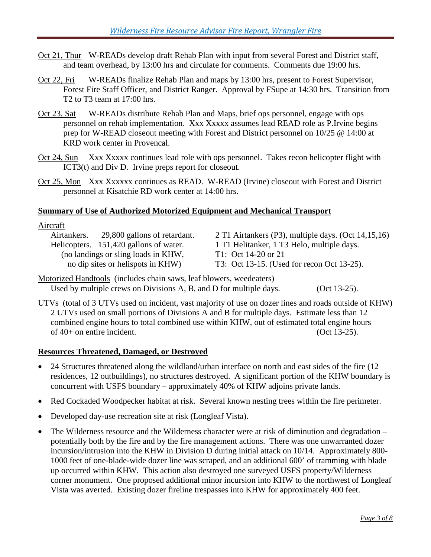- Oct 21, Thur W-READs develop draft Rehab Plan with input from several Forest and District staff, and team overhead, by 13:00 hrs and circulate for comments. Comments due 19:00 hrs.
- Oct 22, Fri W-READs finalize Rehab Plan and maps by 13:00 hrs, present to Forest Supervisor, Forest Fire Staff Officer, and District Ranger. Approval by FSupe at 14:30 hrs. Transition from T2 to T3 team at 17:00 hrs.
- Oct 23, Sat W-READs distribute Rehab Plan and Maps, brief ops personnel, engage with ops personnel on rehab implementation. Xxx Xxxxx assumes lead READ role as P.Irvine begins prep for W-READ closeout meeting with Forest and District personnel on 10/25 @ 14:00 at KRD work center in Provencal.
- Oct 24, Sun Xxx Xxxxx continues lead role with ops personnel. Takes recon helicopter flight with ICT3(t) and Div D. Irvine preps report for closeout.
- Oct 25, Mon Xxx Xxxxxx continues as READ. W-READ (Irvine) closeout with Forest and District personnel at Kisatchie RD work center at 14:00 hrs.

#### **Summary of Use of Authorized Motorized Equipment and Mechanical Transport**

#### Aircraft

(no landings or sling loads in KHW,<br>no dip sites or helispots in KHW) T3: Oct 13-15. (Use

Airtankers. 29,800 gallons of retardant. 2 T1 Airtankers (P3), multiple days. (Oct 14,15,16) Helicopters. 151,420 gallons of water. 1 T1 Helitanker, 1 T3 Helo, multiple days. T3: Oct 13-15. (Used for recon Oct 13-25).

Motorized Handtools (includes chain saws, leaf blowers, weedeaters) Used by multiple crews on Divisions A, B, and D for multiple days. (Oct 13-25).

UTVs (total of 3 UTVs used on incident, vast majority of use on dozer lines and roads outside of KHW) 2 UTVs used on small portions of Divisions A and B for multiple days. Estimate less than 12 combined engine hours to total combined use within KHW, out of estimated total engine hours  $of 40+ on entire incident.$  (Oct 13-25).

#### **Resources Threatened, Damaged, or Destroyed**

- 24 Structures threatened along the wildland/urban interface on north and east sides of the fire (12) residences, 12 outbuildings), no structures destroyed. A significant portion of the KHW boundary is concurrent with USFS boundary – approximately 40% of KHW adjoins private lands.
- Red Cockaded Woodpecker habitat at risk. Several known nesting trees within the fire perimeter.
- Developed day-use recreation site at risk (Longleaf Vista).
- The Wilderness resource and the Wilderness character were at risk of diminution and degradation potentially both by the fire and by the fire management actions. There was one unwarranted dozer incursion/intrusion into the KHW in Division D during initial attack on 10/14. Approximately 800- 1000 feet of one-blade-wide dozer line was scraped, and an additional 600' of tramming with blade up occurred within KHW. This action also destroyed one surveyed USFS property/Wilderness corner monument. One proposed additional minor incursion into KHW to the northwest of Longleaf Vista was averted. Existing dozer fireline trespasses into KHW for approximately 400 feet.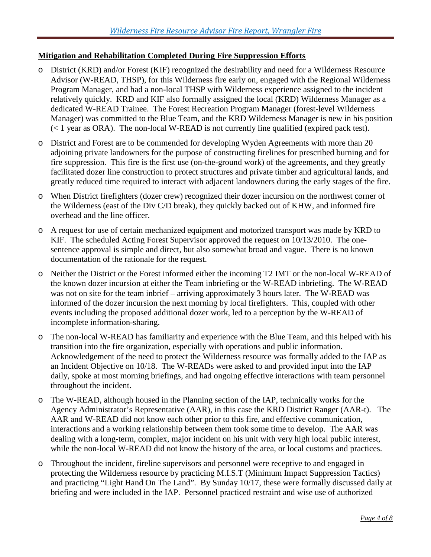#### **Mitigation and Rehabilitation Completed During Fire Suppression Efforts**

- o District (KRD) and/or Forest (KIF) recognized the desirability and need for a Wilderness Resource Advisor (W-READ, THSP), for this Wilderness fire early on, engaged with the Regional Wilderness Program Manager, and had a non-local THSP with Wilderness experience assigned to the incident relatively quickly. KRD and KIF also formally assigned the local (KRD) Wilderness Manager as a dedicated W-READ Trainee. The Forest Recreation Program Manager (forest-level Wilderness Manager) was committed to the Blue Team, and the KRD Wilderness Manager is new in his position  $($  < 1 year as ORA). The non-local W-READ is not currently line qualified (expired pack test).
- o District and Forest are to be commended for developing Wyden Agreements with more than 20 adjoining private landowners for the purpose of constructing firelines for prescribed burning and for fire suppression. This fire is the first use (on-the-ground work) of the agreements, and they greatly facilitated dozer line construction to protect structures and private timber and agricultural lands, and greatly reduced time required to interact with adjacent landowners during the early stages of the fire.
- o When District firefighters (dozer crew) recognized their dozer incursion on the northwest corner of the Wilderness (east of the Div C/D break), they quickly backed out of KHW, and informed fire overhead and the line officer.
- o A request for use of certain mechanized equipment and motorized transport was made by KRD to KIF. The scheduled Acting Forest Supervisor approved the request on 10/13/2010. The onesentence approval is simple and direct, but also somewhat broad and vague. There is no known documentation of the rationale for the request.
- o Neither the District or the Forest informed either the incoming T2 IMT or the non-local W-READ of the known dozer incursion at either the Team inbriefing or the W-READ inbriefing. The W-READ was not on site for the team inbrief – arriving approximately 3 hours later. The W-READ was informed of the dozer incursion the next morning by local firefighters. This, coupled with other events including the proposed additional dozer work, led to a perception by the W-READ of incomplete information-sharing.
- o The non-local W-READ has familiarity and experience with the Blue Team, and this helped with his transition into the fire organization, especially with operations and public information. Acknowledgement of the need to protect the Wilderness resource was formally added to the IAP as an Incident Objective on 10/18. The W-READs were asked to and provided input into the IAP daily, spoke at most morning briefings, and had ongoing effective interactions with team personnel throughout the incident.
- o The W-READ, although housed in the Planning section of the IAP, technically works for the Agency Administrator's Representative (AAR), in this case the KRD District Ranger (AAR-t). The AAR and W-READ did not know each other prior to this fire, and effective communication, interactions and a working relationship between them took some time to develop. The AAR was dealing with a long-term, complex, major incident on his unit with very high local public interest, while the non-local W-READ did not know the history of the area, or local customs and practices.
- o Throughout the incident, fireline supervisors and personnel were receptive to and engaged in protecting the Wilderness resource by practicing M.I.S.T (Minimum Impact Suppression Tactics) and practicing "Light Hand On The Land". By Sunday 10/17, these were formally discussed daily at briefing and were included in the IAP. Personnel practiced restraint and wise use of authorized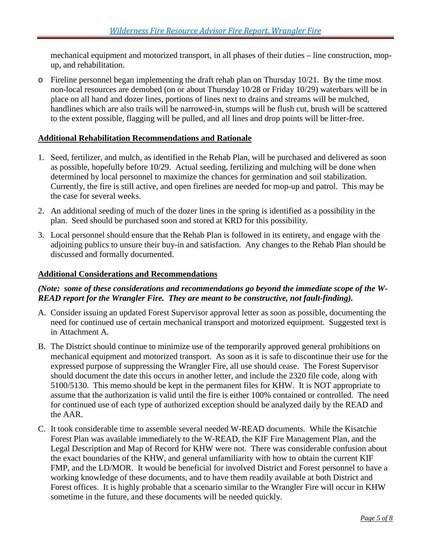mechanical equipment and motorized transport, in all phases of their duties – line construction, mopup, and rehabilitation.

o Fireline personnel began implementing the draft rehab plan on Thursday 10/21. By the time most non-local resources are demobed (on or about Thursday 10/28 or Friday 10/29) waterbars will be in place on all hand and dozer lines, portions of lines next to drains and streams will be mulched, handlines which are also trails will be narrowed-in, stumps will be flush cut, brush will be scattered to the extent possible, flagging will be pulled, and all lines and drop points will be litter-free.

#### **Additional Rehabilitation Recommendations and Rationale**

- 1. Seed, fertilizer, and mulch, as identified in the Rehab Plan, will be purchased and delivered as soon as possible, hopefully before 10/29. Actual seeding, fertilizing and mulching will be done when determined by local personnel to maximize the chances for germination and soil stabilization. Currently, the fire is still active, and open firelines are needed for mop-up and patrol. This may be the case for several weeks.
- 2. An additional seeding of much of the dozer lines in the spring is identified as a possibility in the plan. Seed should be purchased soon and stored at KRD for this possibility.
- 3. Local personnel should ensure that the Rehab Plan is followed in its entirety, and engage with the adjoining publics to unsure their buy-in and satisfaction. Any changes to the Rehab Plan should be discussed and formally documented.

#### **Additional Considerations and Recommendations**

#### *(Note: some of these considerations and recommendations go beyond the immediate scope of the W-READ report for the Wrangler Fire. They are meant to be constructive, not fault-finding).*

- A. Consider issuing an updated Forest Supervisor approval letter as soon as possible, documenting the need for continued use of certain mechanical transport and motorized equipment. Suggested text is in Attachment A.
- B. The District should continue to minimize use of the temporarily approved general prohibitions on mechanical equipment and motorized transport. As soon as it is safe to discontinue their use for the expressed purpose of suppressing the Wrangler Fire, all use should cease. The Forest Supervisor should document the date this occurs in another letter, and include the 2320 file code, along with 5100/5130. This memo should be kept in the permanent files for KHW. It is NOT appropriate to assume that the authorization is valid until the fire is either 100% contained or controlled. The need for continued use of each type of authorized exception should be analyzed daily by the READ and the AAR.
- C. It took considerable time to assemble several needed W-READ documents. While the Kisatchie Forest Plan was available immediately to the W-READ, the KIF Fire Management Plan, and the Legal Description and Map of Record for KHW were not. There was considerable confusion about the exact boundaries of the KHW, and general unfamiliarity with how to obtain the current KIF FMP, and the LD/MOR. It would be beneficial for involved District and Forest personnel to have a working knowledge of these documents, and to have them readily available at both District and Forest offices. It is highly probable that a scenario similar to the Wrangler Fire will occur in KHW sometime in the future, and these documents will be needed quickly.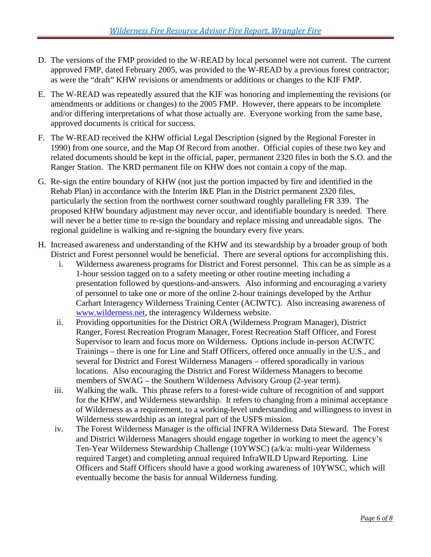- D. The versions of the FMP provided to the W-READ by local personnel were not current. The current approved FMP, dated February 2005, was provided to the W-READ by a previous forest contractor; as were the "draft" KHW revisions or amendments or additions or changes to the KIF FMP.
- E. The W-READ was repeatedly assured that the KIF was honoring and implementing the revisions (or amendments or additions or changes) to the 2005 FMP. However, there appears to be incomplete and/or differing interpretations of what those actually are. Everyone working from the same base, approved documents is critical for success.
- F. The W-READ received the KHW official Legal Description (signed by the Regional Forester in 1990) from one source, and the Map Of Record from another. Official copies of these two key and related documents should be kept in the official, paper, permanent 2320 files in both the S.O. and the Ranger Station. The KRD permanent file on KHW does not contain a copy of the map.
- G. Re-sign the entire boundary of KHW (not just the portion impacted by fire and identified in the Rehab Plan) in accordance with the Interim I&E Plan in the District permanent 2320 files, particularly the section from the northwest corner southward roughly paralleling FR 339. The proposed KHW boundary adjustment may never occur, and identifiable boundary is needed. There will never be a better time to re-sign the boundary and replace missing and unreadable signs. The regional guideline is walking and re-signing the boundary every five years.
- H. Increased awareness and understanding of the KHW and its stewardship by a broader group of both District and Forest personnel would be beneficial. There are several options for accomplishing this.
	- i. Wilderness awareness programs for District and Forest personnel. This can be as simple as a 1-hour session tagged on to a safety meeting or other routine meeting including a presentation followed by questions-and-answers. Also informing and encouraging a variety of personnel to take one or more of the online 2-hour trainings developed by the Arthur Carhart Interagency Wilderness Training Center (ACIWTC). Also increasing awareness of [www.wilderness.net,](http://www.wilderness.net/) the interagency Wilderness website.
	- ii. Providing opportunities for the District ORA (Wilderness Program Manager), District Ranger, Forest Recreation Program Manager, Forest Recreation Staff Officer, and Forest Supervisor to learn and focus more on Wilderness. Options include in-person ACIWTC Trainings – there is one for Line and Staff Officers, offered once annually in the U.S., and several for District and Forest Wilderness Managers – offered sporadically in various locations. Also encouraging the District and Forest Wilderness Managers to become members of SWAG – the Southern Wilderness Advisory Group (2-year term).
	- iii. Walking the walk. This phrase refers to a forest-wide culture of recognition of and support for the KHW, and Wilderness stewardship. It refers to changing from a minimal acceptance of Wilderness as a requirement, to a working-level understanding and willingness to invest in Wilderness stewardship as an integral part of the USFS mission.
	- iv. The Forest Wilderness Manager is the official INFRA Wilderness Data Steward. The Forest and District Wilderness Managers should engage together in working to meet the agency's Ten-Year Wilderness Stewardship Challenge (10YWSC) (a/k/a: multi-year Wilderness required Target) and completing annual required InfraWILD Upward Reporting. Line Officers and Staff Officers should have a good working awareness of 10YWSC, which will eventually become the basis for annual Wilderness funding.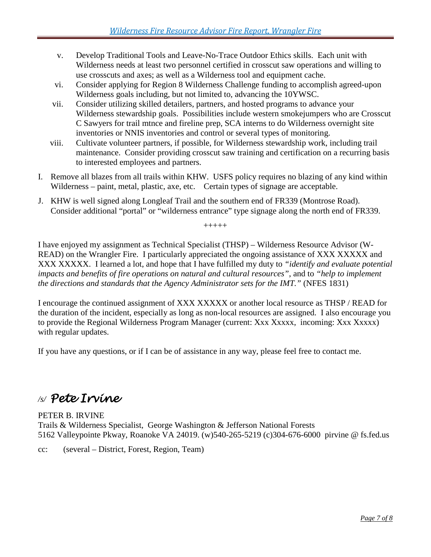- v. Develop Traditional Tools and Leave-No-Trace Outdoor Ethics skills. Each unit with Wilderness needs at least two personnel certified in crosscut saw operations and willing to use crosscuts and axes; as well as a Wilderness tool and equipment cache.
- vi. Consider applying for Region 8 Wilderness Challenge funding to accomplish agreed-upon Wilderness goals including, but not limited to, advancing the 10YWSC.
- vii. Consider utilizing skilled detailers, partners, and hosted programs to advance your Wilderness stewardship goals. Possibilities include western smokejumpers who are Crosscut C Sawyers for trail mtnce and fireline prep, SCA interns to do Wilderness overnight site inventories or NNIS inventories and control or several types of monitoring.
- viii. Cultivate volunteer partners, if possible, for Wilderness stewardship work, including trail maintenance. Consider providing crosscut saw training and certification on a recurring basis to interested employees and partners.
- I. Remove all blazes from all trails within KHW. USFS policy requires no blazing of any kind within Wilderness – paint, metal, plastic, axe, etc. Certain types of signage are acceptable.
- J. KHW is well signed along Longleaf Trail and the southern end of FR339 (Montrose Road). Consider additional "portal" or "wilderness entrance" type signage along the north end of FR339.

+++++

I have enjoyed my assignment as Technical Specialist (THSP) – Wilderness Resource Advisor (W-READ) on the Wrangler Fire. I particularly appreciated the ongoing assistance of XXX XXXXX and XXX XXXXX. I learned a lot, and hope that I have fulfilled my duty to *"identify and evaluate potential impacts and benefits of fire operations on natural and cultural resources"*, and to *"help to implement the directions and standards that the Agency Administrator sets for the IMT."* (NFES 1831)

I encourage the continued assignment of XXX XXXXX or another local resource as THSP / READ for the duration of the incident, especially as long as non-local resources are assigned. I also encourage you to provide the Regional Wilderness Program Manager (current: Xxx Xxxxx, incoming: Xxx Xxxxx) with regular updates.

If you have any questions, or if I can be of assistance in any way, please feel free to contact me.

# */s/ Pete Irvine*

#### PETER B. IRVINE Trails & Wilderness Specialist, George Washington & Jefferson National Forests 5162 Valleypointe Pkway, Roanoke VA 24019. (w)540-265-5219 (c)304-676-6000 pirvine @ fs.fed.us

cc: (several – District, Forest, Region, Team)